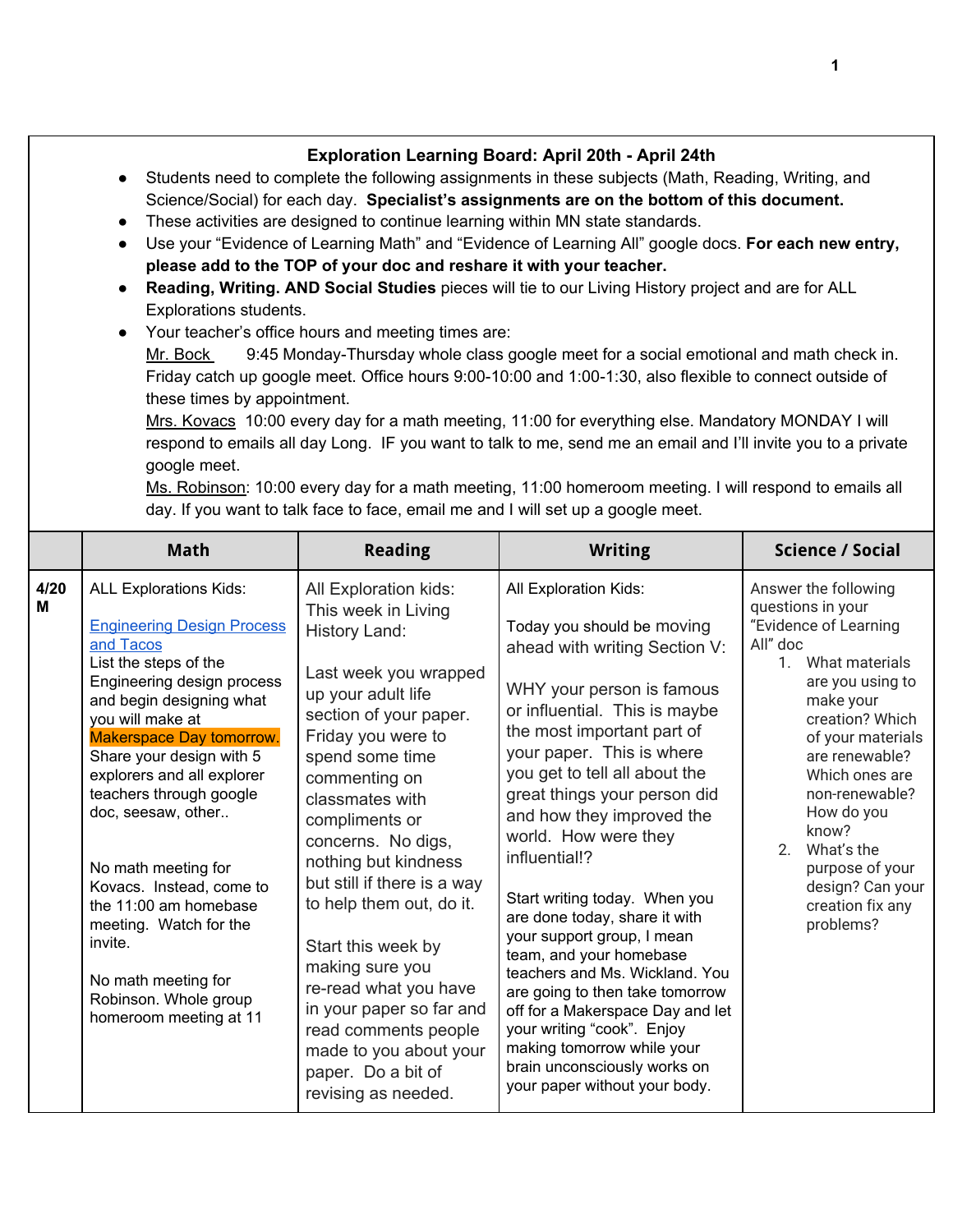|           | Exploration Learning Board: April 20th - April 24th<br>Students need to complete the following assignments in these subjects (Math, Reading, Writing, and<br>Science/Social) for each day. Specialist's assignments are on the bottom of this document.<br>These activities are designed to continue learning within MN state standards.<br>Use your "Evidence of Learning Math" and "Evidence of Learning All" google docs. For each new entry,<br>$\bullet$<br>please add to the TOP of your doc and reshare it with your teacher.<br>Reading, Writing. AND Social Studies pieces will tie to our Living History project and are for ALL<br>$\bullet$<br>Explorations students.<br>Your teacher's office hours and meeting times are:<br>9:45 Monday-Thursday whole class google meet for a social emotional and math check in.<br>Mr. Bock<br>Friday catch up google meet. Office hours 9:00-10:00 and 1:00-1:30, also flexible to connect outside of<br>these times by appointment.<br>Mrs. Kovacs 10:00 every day for a math meeting, 11:00 for everything else. Mandatory MONDAY I will<br>respond to emails all day Long. IF you want to talk to me, send me an email and I'll invite you to a private<br>google meet.<br>Ms. Robinson: 10:00 every day for a math meeting, 11:00 homeroom meeting. I will respond to emails all<br>day. If you want to talk face to face, email me and I will set up a google meet. |                                                                                                                                                                                                                                                                                                                                                                                                                                                                                                                                             |                                                                                                                                                                                                                                                                                                                                                                                                                                                                                                                                                                                                                                                                                                                       |                                                                                                                                                                                                                                                                                                                                                       |  |  |
|-----------|-----------------------------------------------------------------------------------------------------------------------------------------------------------------------------------------------------------------------------------------------------------------------------------------------------------------------------------------------------------------------------------------------------------------------------------------------------------------------------------------------------------------------------------------------------------------------------------------------------------------------------------------------------------------------------------------------------------------------------------------------------------------------------------------------------------------------------------------------------------------------------------------------------------------------------------------------------------------------------------------------------------------------------------------------------------------------------------------------------------------------------------------------------------------------------------------------------------------------------------------------------------------------------------------------------------------------------------------------------------------------------------------------------------------------------|---------------------------------------------------------------------------------------------------------------------------------------------------------------------------------------------------------------------------------------------------------------------------------------------------------------------------------------------------------------------------------------------------------------------------------------------------------------------------------------------------------------------------------------------|-----------------------------------------------------------------------------------------------------------------------------------------------------------------------------------------------------------------------------------------------------------------------------------------------------------------------------------------------------------------------------------------------------------------------------------------------------------------------------------------------------------------------------------------------------------------------------------------------------------------------------------------------------------------------------------------------------------------------|-------------------------------------------------------------------------------------------------------------------------------------------------------------------------------------------------------------------------------------------------------------------------------------------------------------------------------------------------------|--|--|
|           | <b>Math</b>                                                                                                                                                                                                                                                                                                                                                                                                                                                                                                                                                                                                                                                                                                                                                                                                                                                                                                                                                                                                                                                                                                                                                                                                                                                                                                                                                                                                                 | <b>Reading</b>                                                                                                                                                                                                                                                                                                                                                                                                                                                                                                                              | <b>Writing</b>                                                                                                                                                                                                                                                                                                                                                                                                                                                                                                                                                                                                                                                                                                        | <b>Science / Social</b>                                                                                                                                                                                                                                                                                                                               |  |  |
| 4/20<br>Μ | <b>ALL Explorations Kids:</b><br><b>Engineering Design Process</b><br>and Tacos<br>List the steps of the<br>Engineering design process<br>and begin designing what<br>you will make at<br><b>Makerspace Day tomorrow.</b><br>Share your design with 5<br>explorers and all explorer<br>teachers through google<br>doc, seesaw, other<br>No math meeting for<br>Kovacs. Instead, come to<br>the 11:00 am homebase<br>meeting. Watch for the<br>invite.<br>No math meeting for<br>Robinson. Whole group<br>homeroom meeting at 11                                                                                                                                                                                                                                                                                                                                                                                                                                                                                                                                                                                                                                                                                                                                                                                                                                                                                             | All Exploration kids:<br>This week in Living<br>History Land:<br>Last week you wrapped<br>up your adult life<br>section of your paper.<br>Friday you were to<br>spend some time<br>commenting on<br>classmates with<br>compliments or<br>concerns. No digs,<br>nothing but kindness<br>but still if there is a way<br>to help them out, do it.<br>Start this week by<br>making sure you<br>re-read what you have<br>in your paper so far and<br>read comments people<br>made to you about your<br>paper. Do a bit of<br>revising as needed. | All Exploration Kids:<br>Today you should be moving<br>ahead with writing Section V:<br>WHY your person is famous<br>or influential. This is maybe<br>the most important part of<br>your paper. This is where<br>you get to tell all about the<br>great things your person did<br>and how they improved the<br>world. How were they<br>influential!?<br>Start writing today. When you<br>are done today, share it with<br>your support group, I mean<br>team, and your homebase<br>teachers and Ms. Wickland. You<br>are going to then take tomorrow<br>off for a Makerspace Day and let<br>your writing "cook". Enjoy<br>making tomorrow while your<br>brain unconsciously works on<br>your paper without your body. | Answer the following<br>questions in your<br>"Evidence of Learning<br>All" doc<br>1. What materials<br>are you using to<br>make your<br>creation? Which<br>of your materials<br>are renewable?<br>Which ones are<br>non-renewable?<br>How do you<br>know?<br>2.<br>What's the<br>purpose of your<br>design? Can your<br>creation fix any<br>problems? |  |  |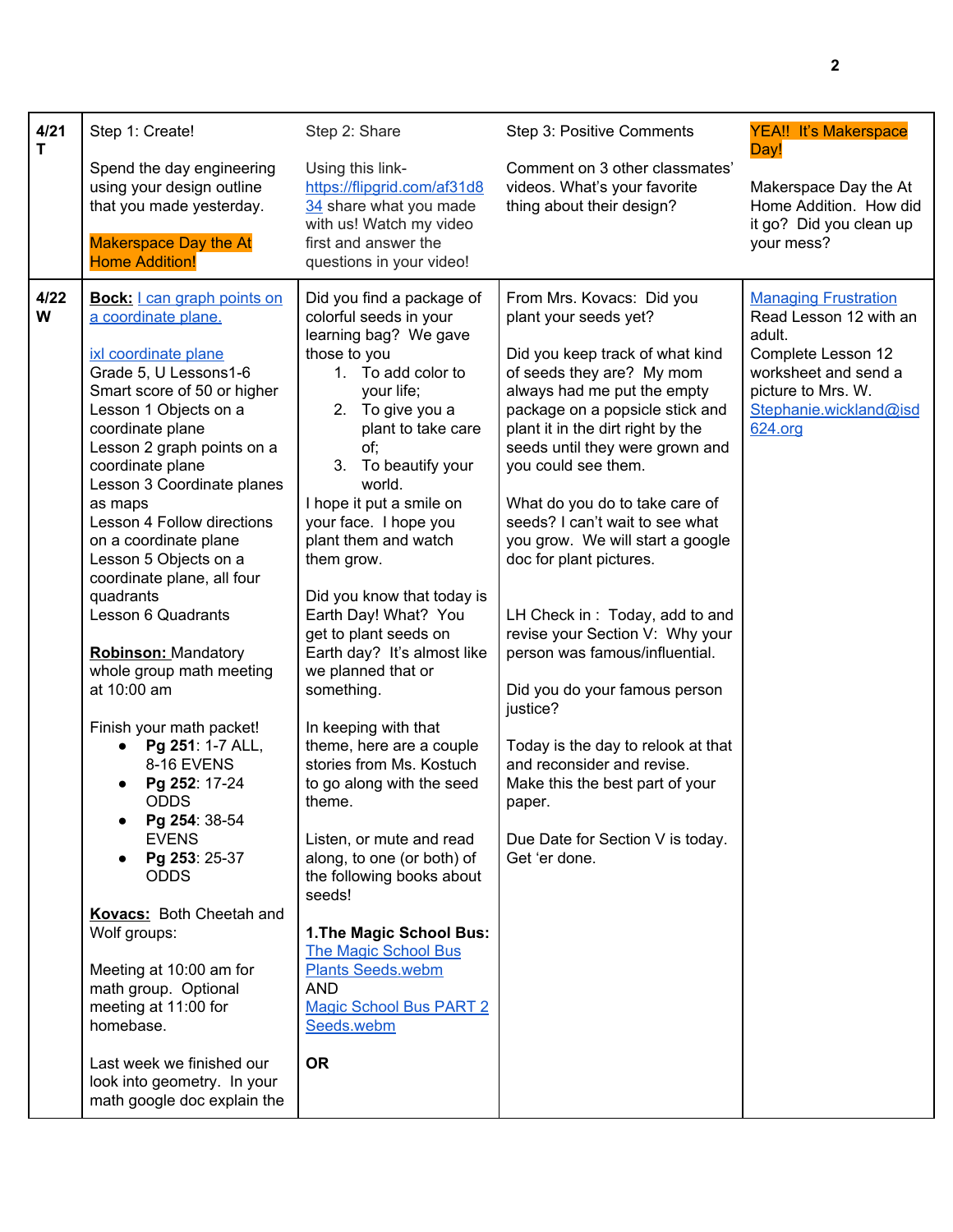| 4/21<br>T | Step 1: Create!                                                                                                                                                                                                                                                                                                                                                                                                                                                                                                                                                                                                                                                                                                                                                                                                                                                                                                                                         | Step 2: Share                                                                                                                                                                                                                                                                                                                                                                                                                                                                                                                                                                                                                                                                                                                                                                                                                                             | Step 3: Positive Comments                                                                                                                                                                                                                                                                                                                                                                                                                                                                                                                                                                                                                                                                                                                         | <b>YEA!! It's Makerspace</b><br>Day!                                                                                                                                     |
|-----------|---------------------------------------------------------------------------------------------------------------------------------------------------------------------------------------------------------------------------------------------------------------------------------------------------------------------------------------------------------------------------------------------------------------------------------------------------------------------------------------------------------------------------------------------------------------------------------------------------------------------------------------------------------------------------------------------------------------------------------------------------------------------------------------------------------------------------------------------------------------------------------------------------------------------------------------------------------|-----------------------------------------------------------------------------------------------------------------------------------------------------------------------------------------------------------------------------------------------------------------------------------------------------------------------------------------------------------------------------------------------------------------------------------------------------------------------------------------------------------------------------------------------------------------------------------------------------------------------------------------------------------------------------------------------------------------------------------------------------------------------------------------------------------------------------------------------------------|---------------------------------------------------------------------------------------------------------------------------------------------------------------------------------------------------------------------------------------------------------------------------------------------------------------------------------------------------------------------------------------------------------------------------------------------------------------------------------------------------------------------------------------------------------------------------------------------------------------------------------------------------------------------------------------------------------------------------------------------------|--------------------------------------------------------------------------------------------------------------------------------------------------------------------------|
|           | Spend the day engineering<br>using your design outline<br>that you made yesterday.<br><b>Makerspace Day the At</b><br><b>Home Addition!</b>                                                                                                                                                                                                                                                                                                                                                                                                                                                                                                                                                                                                                                                                                                                                                                                                             | Using this link-<br>https://flipgrid.com/af31d8<br>34 share what you made<br>with us! Watch my video<br>first and answer the<br>questions in your video!                                                                                                                                                                                                                                                                                                                                                                                                                                                                                                                                                                                                                                                                                                  | Comment on 3 other classmates'<br>videos. What's your favorite<br>thing about their design?                                                                                                                                                                                                                                                                                                                                                                                                                                                                                                                                                                                                                                                       | Makerspace Day the At<br>Home Addition. How did<br>it go? Did you clean up<br>your mess?                                                                                 |
| 4/22<br>W | <b>Bock:</b> I can graph points on<br>a coordinate plane.<br>ixl coordinate plane<br>Grade 5, U Lessons1-6<br>Smart score of 50 or higher<br>Lesson 1 Objects on a<br>coordinate plane<br>Lesson 2 graph points on a<br>coordinate plane<br>Lesson 3 Coordinate planes<br>as maps<br>Lesson 4 Follow directions<br>on a coordinate plane<br>Lesson 5 Objects on a<br>coordinate plane, all four<br>quadrants<br>Lesson 6 Quadrants<br><b>Robinson: Mandatory</b><br>whole group math meeting<br>at 10:00 am<br>Finish your math packet!<br>Pg 251: 1-7 ALL,<br>$\bullet$<br>8-16 EVENS<br>Pg 252: 17-24<br>$\bullet$<br><b>ODDS</b><br>Pg 254: 38-54<br>$\bullet$<br><b>EVENS</b><br>Pg 253: 25-37<br><b>ODDS</b><br><b>Kovacs:</b> Both Cheetah and<br>Wolf groups:<br>Meeting at 10:00 am for<br>math group. Optional<br>meeting at 11:00 for<br>homebase.<br>Last week we finished our<br>look into geometry. In your<br>math google doc explain the | Did you find a package of<br>colorful seeds in your<br>learning bag? We gave<br>those to you<br>1. To add color to<br>your life;<br>2. To give you a<br>plant to take care<br>of;<br>3. To beautify your<br>world.<br>I hope it put a smile on<br>your face. I hope you<br>plant them and watch<br>them grow.<br>Did you know that today is<br>Earth Day! What? You<br>get to plant seeds on<br>Earth day? It's almost like<br>we planned that or<br>something.<br>In keeping with that<br>theme, here are a couple<br>stories from Ms. Kostuch<br>to go along with the seed<br>theme.<br>Listen, or mute and read<br>along, to one (or both) of<br>the following books about<br>seeds!<br>1. The Magic School Bus:<br><b>The Magic School Bus</b><br><b>Plants Seeds.webm</b><br><b>AND</b><br><b>Magic School Bus PART 2</b><br>Seeds.webm<br><b>OR</b> | From Mrs. Kovacs: Did you<br>plant your seeds yet?<br>Did you keep track of what kind<br>of seeds they are? My mom<br>always had me put the empty<br>package on a popsicle stick and<br>plant it in the dirt right by the<br>seeds until they were grown and<br>you could see them.<br>What do you do to take care of<br>seeds? I can't wait to see what<br>you grow. We will start a google<br>doc for plant pictures.<br>LH Check in: Today, add to and<br>revise your Section V: Why your<br>person was famous/influential.<br>Did you do your famous person<br>justice?<br>Today is the day to relook at that<br>and reconsider and revise.<br>Make this the best part of your<br>paper.<br>Due Date for Section V is today.<br>Get 'er done. | <b>Managing Frustration</b><br>Read Lesson 12 with an<br>adult.<br>Complete Lesson 12<br>worksheet and send a<br>picture to Mrs. W.<br>Stephanie.wickland@isd<br>624.org |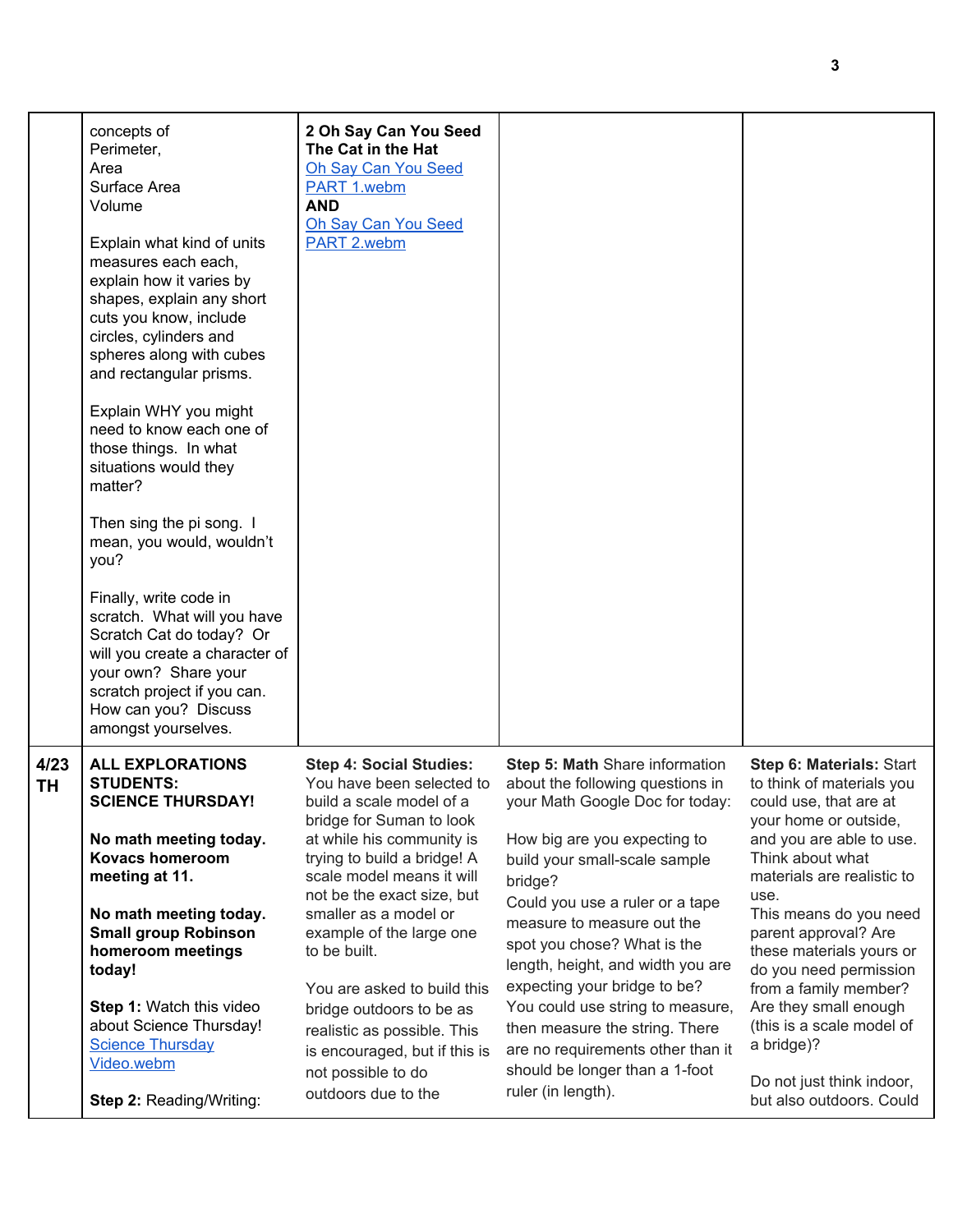|            | concepts of<br>Perimeter,<br>Area<br>Surface Area<br>Volume<br>Explain what kind of units<br>measures each each,<br>explain how it varies by<br>shapes, explain any short<br>cuts you know, include<br>circles, cylinders and<br>spheres along with cubes<br>and rectangular prisms.<br>Explain WHY you might<br>need to know each one of<br>those things. In what<br>situations would they<br>matter?<br>Then sing the pi song. I<br>mean, you would, wouldn't<br>you?<br>Finally, write code in<br>scratch. What will you have<br>Scratch Cat do today? Or<br>will you create a character of<br>your own? Share your<br>scratch project if you can.<br>How can you? Discuss<br>amongst yourselves. | 2 Oh Say Can You Seed<br>The Cat in the Hat<br><b>Oh Say Can You Seed</b><br>PART 1.webm<br><b>AND</b><br>Oh Say Can You Seed<br>PART 2.webm                                                                                                                                                                                                                                                                                                                                            |                                                                                                                                                                                                                                                                                                                                                                                                                                                                                                                           |                                                                                                                                                                                                                                                                                                                                                                                                                                                              |
|------------|------------------------------------------------------------------------------------------------------------------------------------------------------------------------------------------------------------------------------------------------------------------------------------------------------------------------------------------------------------------------------------------------------------------------------------------------------------------------------------------------------------------------------------------------------------------------------------------------------------------------------------------------------------------------------------------------------|-----------------------------------------------------------------------------------------------------------------------------------------------------------------------------------------------------------------------------------------------------------------------------------------------------------------------------------------------------------------------------------------------------------------------------------------------------------------------------------------|---------------------------------------------------------------------------------------------------------------------------------------------------------------------------------------------------------------------------------------------------------------------------------------------------------------------------------------------------------------------------------------------------------------------------------------------------------------------------------------------------------------------------|--------------------------------------------------------------------------------------------------------------------------------------------------------------------------------------------------------------------------------------------------------------------------------------------------------------------------------------------------------------------------------------------------------------------------------------------------------------|
| 4/23<br>TΗ | <b>ALL EXPLORATIONS</b><br><b>STUDENTS:</b><br><b>SCIENCE THURSDAY!</b><br>No math meeting today.<br><b>Kovacs homeroom</b><br>meeting at 11.<br>No math meeting today.<br><b>Small group Robinson</b><br>homeroom meetings<br>today!<br>Step 1: Watch this video<br>about Science Thursday!<br><b>Science Thursday</b><br>Video.webm<br>Step 2: Reading/Writing:                                                                                                                                                                                                                                                                                                                                    | <b>Step 4: Social Studies:</b><br>You have been selected to<br>build a scale model of a<br>bridge for Suman to look<br>at while his community is<br>trying to build a bridge! A<br>scale model means it will<br>not be the exact size, but<br>smaller as a model or<br>example of the large one<br>to be built.<br>You are asked to build this<br>bridge outdoors to be as<br>realistic as possible. This<br>is encouraged, but if this is<br>not possible to do<br>outdoors due to the | Step 5: Math Share information<br>about the following questions in<br>your Math Google Doc for today:<br>How big are you expecting to<br>build your small-scale sample<br>bridge?<br>Could you use a ruler or a tape<br>measure to measure out the<br>spot you chose? What is the<br>length, height, and width you are<br>expecting your bridge to be?<br>You could use string to measure,<br>then measure the string. There<br>are no requirements other than it<br>should be longer than a 1-foot<br>ruler (in length). | Step 6: Materials: Start<br>to think of materials you<br>could use, that are at<br>your home or outside,<br>and you are able to use.<br>Think about what<br>materials are realistic to<br>use.<br>This means do you need<br>parent approval? Are<br>these materials yours or<br>do you need permission<br>from a family member?<br>Are they small enough<br>(this is a scale model of<br>a bridge)?<br>Do not just think indoor,<br>but also outdoors. Could |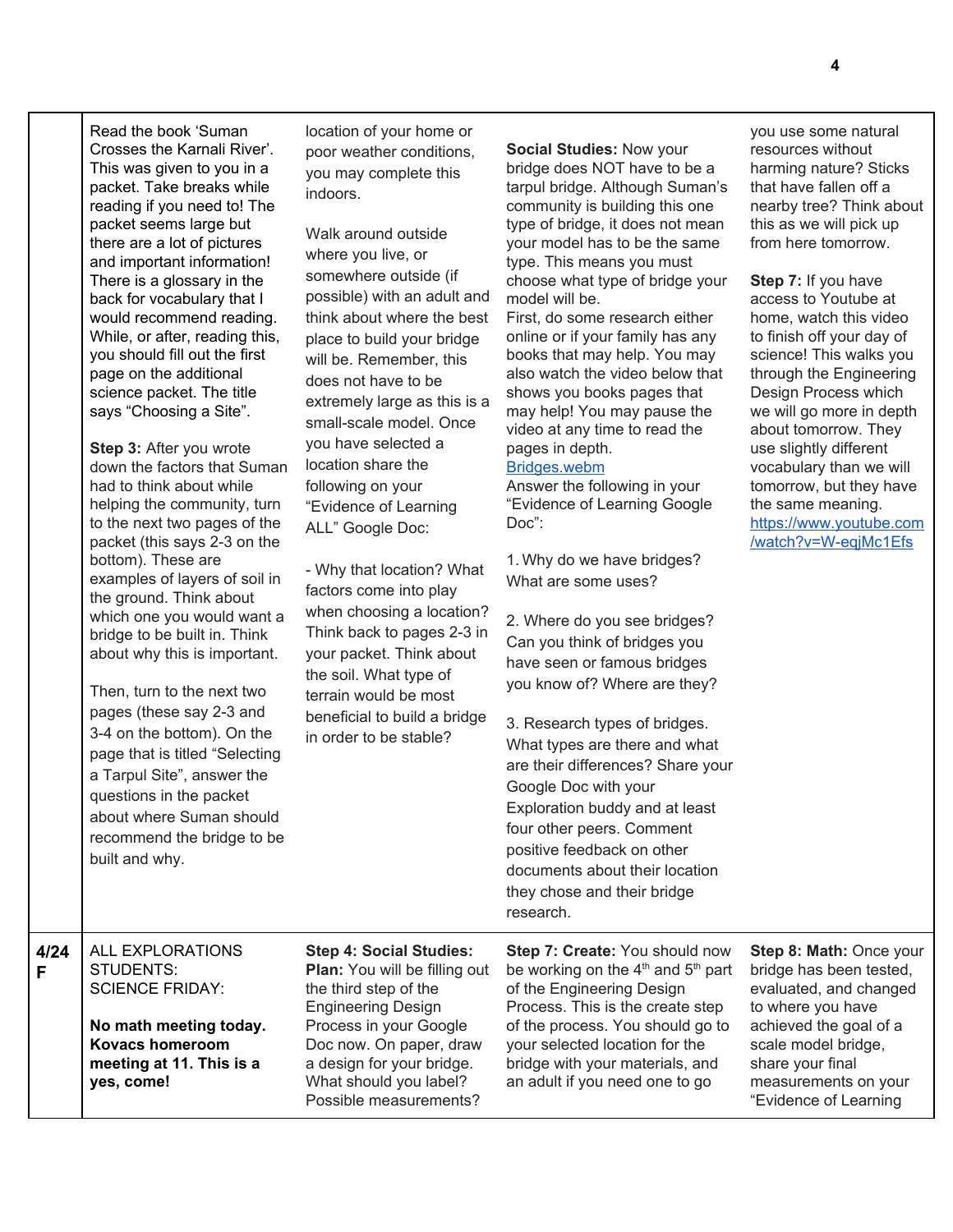|           | Read the book 'Suman<br>Crosses the Karnali River'.<br>This was given to you in a<br>packet. Take breaks while<br>reading if you need to! The<br>packet seems large but<br>there are a lot of pictures<br>and important information!<br>There is a glossary in the<br>back for vocabulary that I<br>would recommend reading.<br>While, or after, reading this,<br>you should fill out the first<br>page on the additional<br>science packet. The title<br>says "Choosing a Site".<br>Step 3: After you wrote<br>down the factors that Suman<br>had to think about while<br>helping the community, turn<br>to the next two pages of the<br>packet (this says 2-3 on the<br>bottom). These are<br>examples of layers of soil in<br>the ground. Think about<br>which one you would want a<br>bridge to be built in. Think<br>about why this is important.<br>Then, turn to the next two<br>pages (these say 2-3 and<br>3-4 on the bottom). On the<br>page that is titled "Selecting<br>a Tarpul Site", answer the<br>questions in the packet<br>about where Suman should<br>recommend the bridge to be<br>built and why. | location of your home or<br>poor weather conditions,<br>you may complete this<br>indoors.<br>Walk around outside<br>where you live, or<br>somewhere outside (if<br>possible) with an adult and<br>think about where the best<br>place to build your bridge<br>will be. Remember, this<br>does not have to be<br>extremely large as this is a<br>small-scale model. Once<br>you have selected a<br>location share the<br>following on your<br>"Evidence of Learning<br>ALL" Google Doc:<br>- Why that location? What<br>factors come into play<br>when choosing a location?<br>Think back to pages 2-3 in<br>your packet. Think about<br>the soil. What type of<br>terrain would be most<br>beneficial to build a bridge<br>in order to be stable? | Social Studies: Now your<br>bridge does NOT have to be a<br>tarpul bridge. Although Suman's<br>community is building this one<br>type of bridge, it does not mean<br>your model has to be the same<br>type. This means you must<br>choose what type of bridge your<br>model will be.<br>First, do some research either<br>online or if your family has any<br>books that may help. You may<br>also watch the video below that<br>shows you books pages that<br>may help! You may pause the<br>video at any time to read the<br>pages in depth.<br>Bridges.webm<br>Answer the following in your<br>"Evidence of Learning Google<br>$Doc$ :<br>1. Why do we have bridges?<br>What are some uses?<br>2. Where do you see bridges?<br>Can you think of bridges you<br>have seen or famous bridges<br>you know of? Where are they?<br>3. Research types of bridges.<br>What types are there and what<br>are their differences? Share your<br>Google Doc with your<br>Exploration buddy and at least<br>four other peers. Comment<br>positive feedback on other<br>documents about their location<br>they chose and their bridge<br>research. | you use some natural<br>resources without<br>harming nature? Sticks<br>that have fallen off a<br>nearby tree? Think about<br>this as we will pick up<br>from here tomorrow.<br>Step 7: If you have<br>access to Youtube at<br>home, watch this video<br>to finish off your day of<br>science! This walks you<br>through the Engineering<br>Design Process which<br>we will go more in depth<br>about tomorrow. They<br>use slightly different<br>vocabulary than we will<br>tomorrow, but they have<br>the same meaning.<br>https://www.youtube.com<br>/watch?v=W-eqjMc1Efs |
|-----------|-----------------------------------------------------------------------------------------------------------------------------------------------------------------------------------------------------------------------------------------------------------------------------------------------------------------------------------------------------------------------------------------------------------------------------------------------------------------------------------------------------------------------------------------------------------------------------------------------------------------------------------------------------------------------------------------------------------------------------------------------------------------------------------------------------------------------------------------------------------------------------------------------------------------------------------------------------------------------------------------------------------------------------------------------------------------------------------------------------------------------|---------------------------------------------------------------------------------------------------------------------------------------------------------------------------------------------------------------------------------------------------------------------------------------------------------------------------------------------------------------------------------------------------------------------------------------------------------------------------------------------------------------------------------------------------------------------------------------------------------------------------------------------------------------------------------------------------------------------------------------------------|-----------------------------------------------------------------------------------------------------------------------------------------------------------------------------------------------------------------------------------------------------------------------------------------------------------------------------------------------------------------------------------------------------------------------------------------------------------------------------------------------------------------------------------------------------------------------------------------------------------------------------------------------------------------------------------------------------------------------------------------------------------------------------------------------------------------------------------------------------------------------------------------------------------------------------------------------------------------------------------------------------------------------------------------------------------------------------------------------------------------------------------------|-----------------------------------------------------------------------------------------------------------------------------------------------------------------------------------------------------------------------------------------------------------------------------------------------------------------------------------------------------------------------------------------------------------------------------------------------------------------------------------------------------------------------------------------------------------------------------|
| 4/24<br>F | ALL EXPLORATIONS<br>STUDENTS:<br><b>SCIENCE FRIDAY:</b><br>No math meeting today.<br><b>Kovacs homeroom</b><br>meeting at 11. This is a<br>yes, come!                                                                                                                                                                                                                                                                                                                                                                                                                                                                                                                                                                                                                                                                                                                                                                                                                                                                                                                                                                 | <b>Step 4: Social Studies:</b><br>Plan: You will be filling out<br>the third step of the<br><b>Engineering Design</b><br>Process in your Google<br>Doc now. On paper, draw<br>a design for your bridge.<br>What should you label?<br>Possible measurements?                                                                                                                                                                                                                                                                                                                                                                                                                                                                                       | Step 7: Create: You should now<br>be working on the $4th$ and $5th$ part<br>of the Engineering Design<br>Process. This is the create step<br>of the process. You should go to<br>your selected location for the<br>bridge with your materials, and<br>an adult if you need one to go                                                                                                                                                                                                                                                                                                                                                                                                                                                                                                                                                                                                                                                                                                                                                                                                                                                    | Step 8: Math: Once your<br>bridge has been tested,<br>evaluated, and changed<br>to where you have<br>achieved the goal of a<br>scale model bridge,<br>share your final<br>measurements on your<br>"Evidence of Learning                                                                                                                                                                                                                                                                                                                                                     |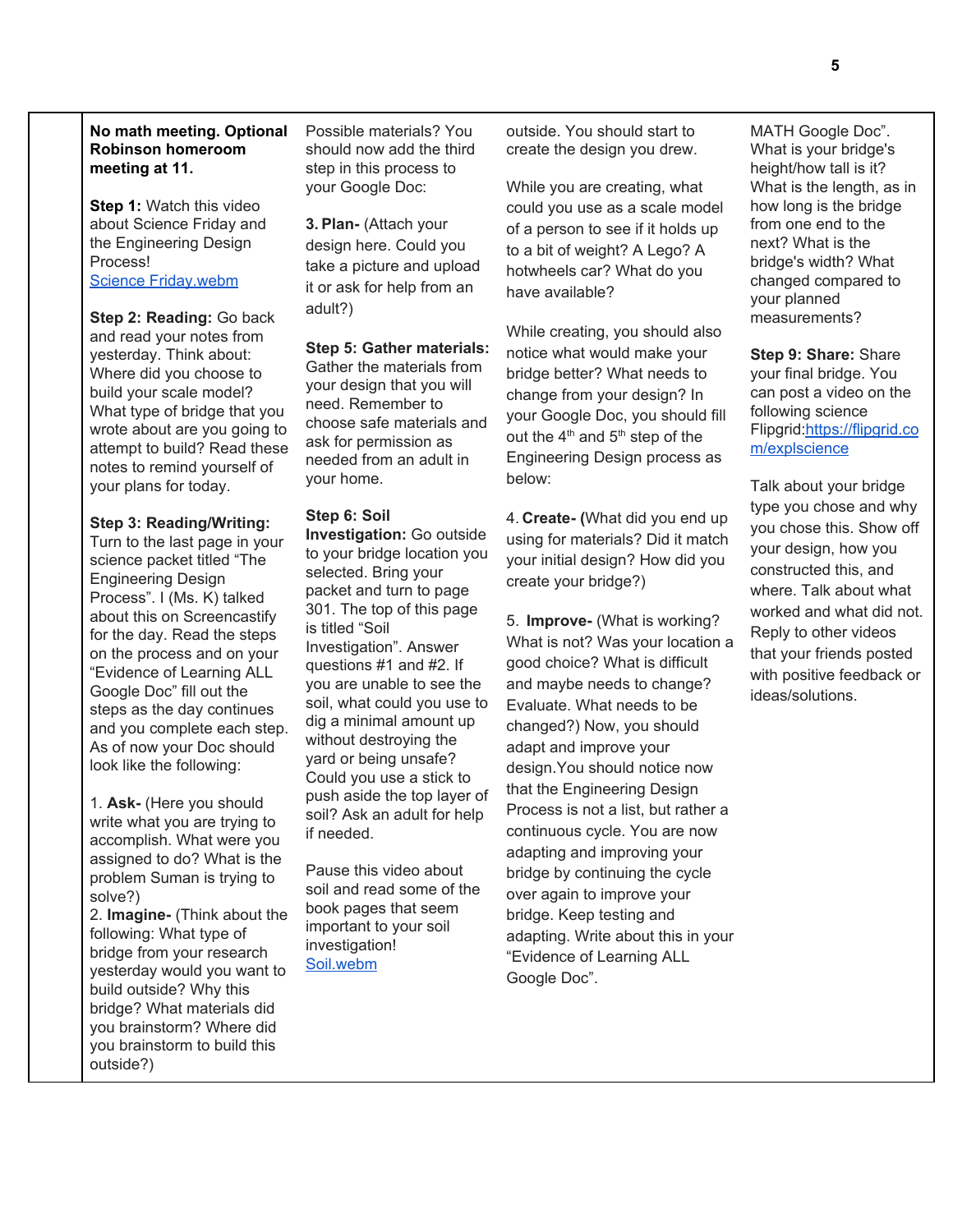## **No math meeting. Optional Robinson homeroom meeting at 11.**

**Step 1:** Watch this video about Science Friday and the Engineering Design Process! Science [Friday.webm](https://drive.google.com/file/d/1cmq_U_RuF5Y5kzeYllXQzSgUanEui8hW/view)

**Step 2: Reading:** Go back and read your notes from yesterday. Think about: Where did you choose to build your scale model? What type of bridge that you wrote about are you going to attempt to build? Read these notes to remind yourself of your plans for today.

### **Step 3: Reading/Writing:**

Turn to the last page in your science packet titled "The Engineering Design Process". I (Ms. K) talked about this on Screencastify for the day. Read the steps on the process and on your "Evidence of Learning ALL Google Doc" fill out the steps as the day continues and you complete each step. As of now your Doc should look like the following:

1. **Ask-** (Here you should write what you are trying to accomplish. What were you assigned to do? What is the problem Suman is trying to solve?)

2. **Imagine-** (Think about the following: What type of bridge from your research yesterday would you want to build outside? Why this bridge? What materials did you brainstorm? Where did you brainstorm to build this outside?)

Possible materials? You should now add the third step in this process to your Google Doc:

**3. Plan-** (Attach your design here. Could you take a picture and upload it or ask for help from an adult?)

### **Step 5: Gather materials:**

Gather the materials from your design that you will need. Remember to choose safe materials and ask for permission as needed from an adult in your home.

### **Step 6: Soil**

**Investigation:** Go outside to your bridge location you selected. Bring your packet and turn to page 301. The top of this page is titled "Soil Investigation". Answer questions #1 and #2. If you are unable to see the soil, what could you use to dig a minimal amount up without destroying the yard or being unsafe? Could you use a stick to push aside the top layer of soil? Ask an adult for help if needed.

Pause this video about soil and read some of the book pages that seem important to your soil investigation! [Soil.webm](https://drive.google.com/file/d/1WlcFSd1JMiy8zCWFX7nn1Q7ylTAQ8mvH/view)

outside. You should start to create the design you drew.

While you are creating, what could you use as a scale model of a person to see if it holds up to a bit of weight? A Lego? A hotwheels car? What do you have available?

While creating, you should also notice what would make your bridge better? What needs to change from your design? In your Google Doc, you should fill out the  $4<sup>th</sup>$  and  $5<sup>th</sup>$  step of the Engineering Design process as below:

4. **Create- (**What did you end up using for materials? Did it match your initial design? How did you create your bridge?)

5. **Improve-** (What is working? What is not? Was your location a good choice? What is difficult and maybe needs to change? Evaluate. What needs to be changed?) Now, you should adapt and improve your design.You should notice now that the Engineering Design Process is not a list, but rather a continuous cycle. You are now adapting and improving your bridge by continuing the cycle over again to improve your bridge. Keep testing and adapting. Write about this in your "Evidence of Learning ALL Google Doc".

MATH Google Doc". What is your bridge's height/how tall is it? What is the length, as in how long is the bridge from one end to the next? What is the bridge's width? What changed compared to your planned measurements?

**Step 9: Share:** Share your final bridge. You can post a video on the following science Flipgrid:[https://flipgrid.co](https://flipgrid.com/explscience) [m/explscience](https://flipgrid.com/explscience)

Talk about your bridge type you chose and why you chose this. Show off your design, how you constructed this, and where. Talk about what worked and what did not. Reply to other videos that your friends posted with positive feedback or ideas/solutions.